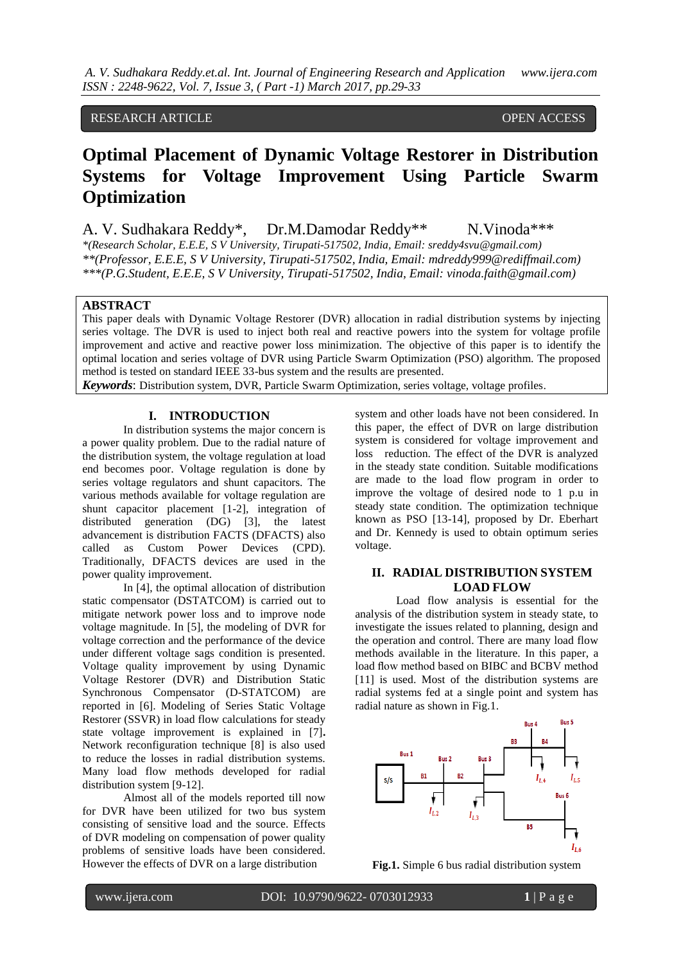# RESEARCH ARTICLE **OPEN ACCESS**

# **Optimal Placement of Dynamic Voltage Restorer in Distribution Systems for Voltage Improvement Using Particle Swarm Optimization**

A. V. Sudhakara Reddy\*, Dr.M.Damodar Reddy\*\* N.Vinoda\*\*\* *\*(Research Scholar, E.E.E, S V University, Tirupati-517502, India, Email: sreddy4svu@gmail.com) \*\*(Professor, E.E.E, S V University, Tirupati-517502, India, Email: mdreddy999@rediffmail.com) \*\*\*(P.G.Student, E.E.E, S V University, Tirupati-517502, India, Email: [vinoda.faith@gmail.com\)](mailto:vinoda.faith@gmail.com)*

## **ABSTRACT**

This paper deals with Dynamic Voltage Restorer (DVR) allocation in radial distribution systems by injecting series voltage. The DVR is used to inject both real and reactive powers into the system for voltage profile improvement and active and reactive power loss minimization. The objective of this paper is to identify the optimal location and series voltage of DVR using Particle Swarm Optimization (PSO) algorithm. The proposed method is tested on standard IEEE 33-bus system and the results are presented. *Keywords*: Distribution system, DVR, Particle Swarm Optimization, series voltage, voltage profiles.

## **I. INTRODUCTION**

In distribution systems the major concern is a power quality problem. Due to the radial nature of the distribution system, the voltage regulation at load end becomes poor. Voltage regulation is done by series voltage regulators and shunt capacitors. The various methods available for voltage regulation are shunt capacitor placement [1-2], integration of distributed generation (DG) [3], the latest advancement is distribution FACTS (DFACTS) also called as Custom Power Devices (CPD). Traditionally, DFACTS devices are used in the power quality improvement.

In [4], the optimal allocation of distribution static compensator (DSTATCOM) is carried out to mitigate network power loss and to improve node voltage magnitude. In [5], the modeling of DVR for voltage correction and the performance of the device under different voltage sags condition is presented. Voltage quality improvement by using Dynamic Voltage Restorer (DVR) and Distribution Static Synchronous Compensator (D-STATCOM) are reported in [6]. Modeling of Series Static Voltage Restorer (SSVR) in load flow calculations for steady state voltage improvement is explained in [7]**.** Network reconfiguration technique [8] is also used to reduce the losses in radial distribution systems. Many load flow methods developed for radial distribution system [9-12].

Almost all of the models reported till now for DVR have been utilized for two bus system consisting of sensitive load and the source. Effects of DVR modeling on compensation of power quality problems of sensitive loads have been considered. However the effects of DVR on a large distribution

system and other loads have not been considered. In this paper, the effect of DVR on large distribution system is considered for voltage improvement and loss reduction. The effect of the DVR is analyzed in the steady state condition. Suitable modifications are made to the load flow program in order to improve the voltage of desired node to 1 p.u in steady state condition. The optimization technique known as PSO [13-14], proposed by Dr. Eberhart and Dr. Kennedy is used to obtain optimum series voltage.

## **II. RADIAL DISTRIBUTION SYSTEM LOAD FLOW**

Load flow analysis is essential for the analysis of the distribution system in steady state, to investigate the issues related to planning, design and the operation and control. There are many load flow methods available in the literature. In this paper, a load flow method based on BIBC and BCBV method [11] is used. Most of the distribution systems are radial systems fed at a single point and system has radial nature as shown in Fig.1.



**Fig.1.** Simple 6 bus radial distribution system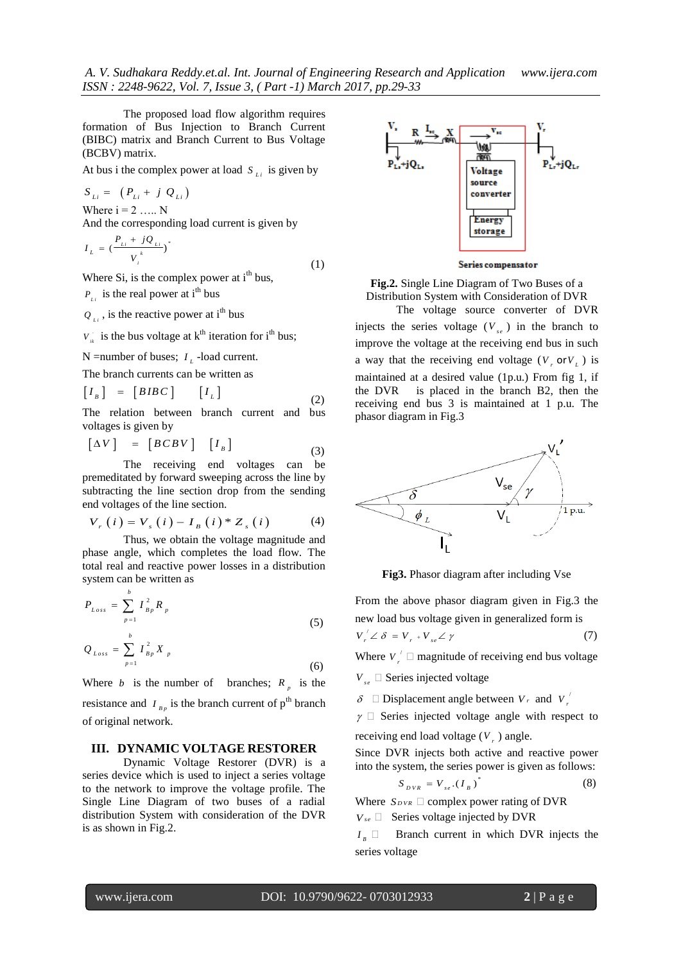The proposed load flow algorithm requires formation of Bus Injection to Branch Current (BIBC) matrix and Branch Current to Bus Voltage (BCBV) matrix.

At bus i the complex power at load  $S_{\mu i}$  is given by

$$
S_{Li} = (P_{Li} + j Q_{Li})
$$
  
Where  $i = 2$  .... N  
And the corresponding load current is given by  

$$
P_{Li} + jQ_{Li}.
$$

$$
I_{L} = \left(\frac{P_{Li} + JQ_{Li}}{V_{i}^{k}}\right)^{*}
$$
\n(1)

Where Si, is the complex power at  $i<sup>th</sup>$  bus,

 $P_{\mu}$  is the real power at i<sup>th</sup> bus

 $Q_{\mu i}$ , is the reactive power at i<sup>th</sup> bus

.  $V_{ik}$  is the bus voltage at  $k^{th}$  iteration for i<sup>th</sup> bus;

N = number of buses;  $I_L$  -load current.

The branch currents can be written as

$$
\begin{bmatrix} I_{B} \end{bmatrix} = \begin{bmatrix} BIBC \end{bmatrix} \begin{bmatrix} I_{L} \end{bmatrix}
$$
 (2)

The relation between branch current and bus voltages is given by

$$
\begin{bmatrix} \Delta V \end{bmatrix} = \begin{bmatrix} BCBV \end{bmatrix} \begin{bmatrix} I_{B} \end{bmatrix}
$$
 (3)

The receiving end voltages can be premeditated by forward sweeping across the line by subtracting the line section drop from the sending

end voltages of the line section.  
\n
$$
V_r(i) = V_s(i) - I_B(i)^* Z_s(i)
$$
\n(4)

Thus, we obtain the voltage magnitude and phase angle, which completes the load flow. The total real and reactive power losses in a distribution system can be written as

$$
P_{Loss} = \sum_{p=1}^{b} I_{Bp}^{2} R_{p}
$$
\n(5)

$$
Q_{Loss} = \sum_{p=1} I_{Bp}^2 X_p
$$
 (6)

Where *b* is the number of branches;  $R_p$  is the resistance and  $I_{B_p}$  is the branch current of  $p^{\text{th}}$  branch of original network.

## **III. DYNAMIC VOLTAGE RESTORER**

Dynamic Voltage Restorer (DVR) is a series device which is used to inject a series voltage to the network to improve the voltage profile. The Single Line Diagram of two buses of a radial distribution System with consideration of the DVR is as shown in Fig.2.



Series compensator

**Fig.2.** Single Line Diagram of Two Buses of a Distribution System with Consideration of DVR

The voltage source converter of DVR injects the series voltage  $(V_{se})$  in the branch to improve the voltage at the receiving end bus in such a way that the receiving end voltage  $(V, \text{or } V_L)$  is maintained at a desired value (1p.u.) From fig 1, if the DVR is placed in the branch B2, then the receiving end bus 3 is maintained at 1 p.u. The phasor diagram in Fig.3



**Fig3.** Phasor diagram after including Vse

From the above phasor diagram given in Fig.3 the new load bus voltage given in generalized form is  $V_{r}^{'} \angle \delta = V_{r}^{'} + V_{se} \angle \gamma$  (7) Where  $V_{r}^{'}$  $V \sim r$   $\Box$  magnitude of receiving end bus voltage

*se V* **─**Series injected voltage

 $\delta$   $\square$  Displacement angle between  $V_r$  and  $V_r$ *r V*

 $\gamma \square$  Series injected voltage angle with respect to receiving end load voltage ( *r V* ) angle.

Since DVR injects both active and reactive power into the system, the series power is given as follows:

$$
S_{DVR} = V_{se}.(I_B)^* \tag{8}
$$

Where  $S_{DVR}$   $\square$  complex power rating of DVR

*V se* **─** Series voltage injected by DVR

*B I* Branch current in which DVR injects the series voltage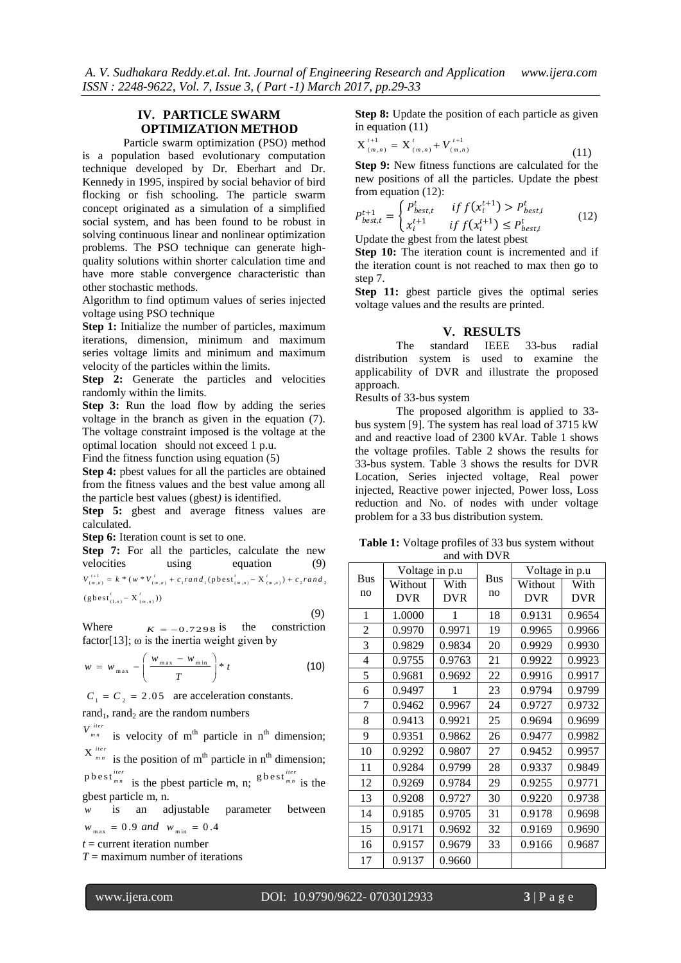# **IV. PARTICLE SWARM OPTIMIZATION METHOD**

Particle swarm optimization (PSO) method is a population based evolutionary computation technique developed by Dr. Eberhart and Dr. Kennedy in 1995, inspired by social behavior of bird flocking or fish schooling. The particle swarm concept originated as a simulation of a simplified social system, and has been found to be robust in solving continuous linear and nonlinear optimization problems. The PSO technique can generate highquality solutions within shorter calculation time and have more stable convergence characteristic than other stochastic methods.

Algorithm to find optimum values of series injected voltage using PSO technique

**Step 1:** Initialize the number of particles, maximum iterations, dimension, minimum and maximum series voltage limits and minimum and maximum velocity of the particles within the limits.

**Step 2:** Generate the particles and velocities randomly within the limits.

**Step 3:** Run the load flow by adding the series voltage in the branch as given in the equation (7). The voltage constraint imposed is the voltage at the optimal location should not exceed 1 p.u.

Find the fitness function using equation (5)

**Step 4:** pbest values for all the particles are obtained from the fitness values and the best value among all the particle best values (gbest*)* is identified.

**Step 5:** gbest and average fitness values are calculated.

**Step 6:** Iteration count is set to one.

**Step 7:** For all the particles, calculate the new velocities using equation (9) velocities using equation (9)<br>  $V_{(m,n)}^{t+1} = k * (w * V_{(m,n)}^t + c_1 rand_1(\text{pbest}_{(m,n)}^t - X_{(m,n)}^t) + c_2 rand_2$  $V_{(m,n)}^{t+1} = k * (w * V_{(m,n)}^t)$ <br>  $(g best'_{(1,n)} - X'_{(m,n)}))$ 

 (9) Where  $K = -0.7298$  is the constriction factor[13];  $\omega$  is the inertia weight given by

$$
w = w_{\max} - \left(\frac{w_{\max} - w_{\min}}{T}\right) * t
$$
 (10)

 $C_i = C_i = 2.05$  are acceleration constants.

rand<sub>1</sub>, rand<sub>2</sub> are the random numbers

 $V_{mn}^{iter}$  is velocity of m<sup>th</sup> particle in n<sup>th</sup> dimension;

 $X^{iter}_{mn}$  is the position of m<sup>th</sup> particle in n<sup>th</sup> dimension;

 $p \text{ best }^{iter}_{mn}$  is the pbest particle m, n;  $p \text{ best }^{iter}_{mn}$  is the gbest particle m, n.

*w* is an adjustable parameter between  $w_{\text{max}} = 0.9 \text{ and } w_{\text{min}} = 0.4$ 

 $t =$  current iteration number

*T* = maximum number of iterations

**Step 8:** Update the position of each particle as given in equation (11)

$$
X_{(m,n)}^{t+1} = X_{(m,n)}^t + V_{(m,n)}^{t+1}
$$
\n(11)

**Step 9:** New fitness functions are calculated for the new positions of all the particles. Update the pbest from equation (12):

$$
P_{best,t}^{t+1} = \begin{cases} P_{best,t}^t & \text{if } f(x_i^{t+1}) > P_{best,i}^t \\ x_i^{t+1} & \text{if } f(x_i^{t+1}) \le P_{best,i}^t \end{cases} \tag{12}
$$

Update the gbest from the latest pbest

**Step 10:** The iteration count is incremented and if the iteration count is not reached to max then go to step 7.

**Step 11:** gbest particle gives the optimal series voltage values and the results are printed.

## **V. RESULTS**

The standard IEEE 33-bus radial distribution system is used to examine the applicability of DVR and illustrate the proposed approach.

Results of 33-bus system

The proposed algorithm is applied to 33 bus system [9]. The system has real load of 3715 kW and and reactive load of 2300 kVAr. Table 1 shows the voltage profiles. Table 2 shows the results for 33-bus system. Table 3 shows the results for DVR Location, Series injected voltage, Real power injected, Reactive power injected, Power loss, Loss reduction and No. of nodes with under voltage problem for a 33 bus distribution system.

**Table 1:** Voltage profiles of 33 bus system without and with DVR

| <b>Bus</b><br>no | Voltage in p.u |            |            | Voltage in p.u |            |  |
|------------------|----------------|------------|------------|----------------|------------|--|
|                  | Without        | With       | <b>Bus</b> | Without        | With       |  |
|                  | <b>DVR</b>     | <b>DVR</b> | no         | <b>DVR</b>     | <b>DVR</b> |  |
| 1                | 1.0000         | 1          | 18         | 0.9131         | 0.9654     |  |
| $\overline{2}$   | 0.9970         | 0.9971     | 19         | 0.9965         | 0.9966     |  |
| 3                | 0.9829         | 0.9834     | 20         | 0.9929         | 0.9930     |  |
| 4                | 0.9755         | 0.9763     | 21         | 0.9922         | 0.9923     |  |
| 5                | 0.9681         | 0.9692     | 22         | 0.9916         | 0.9917     |  |
| 6                | 0.9497         | 1          | 23         | 0.9794         | 0.9799     |  |
| 7                | 0.9462         | 0.9967     | 24         | 0.9727         | 0.9732     |  |
| 8                | 0.9413         | 0.9921     | 25         | 0.9694         | 0.9699     |  |
| 9                | 0.9351         | 0.9862     | 26         | 0.9477         | 0.9982     |  |
| 10               | 0.9292         | 0.9807     | 27         | 0.9452         | 0.9957     |  |
| 11               | 0.9284         | 0.9799     | 28         | 0.9337         | 0.9849     |  |
| 12               | 0.9269         | 0.9784     | 29         | 0.9255         | 0.9771     |  |
| 13               | 0.9208         | 0.9727     | 30         | 0.9220         | 0.9738     |  |
| 14               | 0.9185         | 0.9705     | 31         | 0.9178         | 0.9698     |  |
| 15               | 0.9171         | 0.9692     | 32         | 0.9169         | 0.9690     |  |
| 16               | 0.9157         | 0.9679     | 33         | 0.9166         | 0.9687     |  |
| 17               | 0.9137         | 0.9660     |            |                |            |  |

www.ijera.com DOI: 10.9790/9622- 0703012933 **3** | P a g e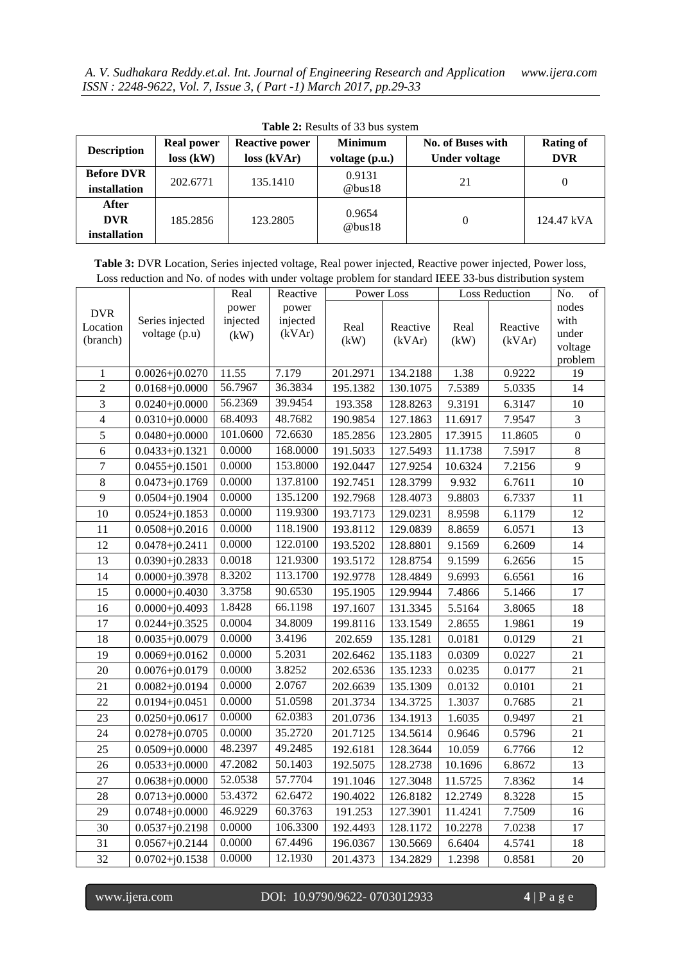| <b>Description</b>                  | <b>Real power</b><br>$loss$ (kW) | <b>Reactive power</b><br>loss (kVar) | <b>Minimum</b><br>voltage (p.u.) | No. of Buses with<br>Under voltage | <b>Rating of</b><br><b>DVR</b> |
|-------------------------------------|----------------------------------|--------------------------------------|----------------------------------|------------------------------------|--------------------------------|
| <b>Before DVR</b><br>installation   | 202.6771                         | 135,1410                             | 0.9131<br>@bus18                 | 21                                 |                                |
| After<br><b>DVR</b><br>installation | 185.2856                         | 123.2805                             | 0.9654<br>@bus18                 |                                    | 124.47 kVA                     |

**Table 2:** Results of 33 bus system

**Table 3:** DVR Location, Series injected voltage, Real power injected, Reactive power injected, Power loss, Loss reduction and No. of nodes with under voltage problem for standard IEEE 33-bus distribution system

|                                    | Series injected<br>voltage (p.u) | Real<br>power<br>injected<br>(kW) | Reactive<br>power<br>injected<br>(kVAr) | Power Loss   |                    | Loss Reduction |                    | No.<br>of                                    |
|------------------------------------|----------------------------------|-----------------------------------|-----------------------------------------|--------------|--------------------|----------------|--------------------|----------------------------------------------|
| <b>DVR</b><br>Location<br>(branch) |                                  |                                   |                                         | Real<br>(kW) | Reactive<br>(kVAr) | Real<br>(kW)   | Reactive<br>(kVAr) | nodes<br>with<br>under<br>voltage<br>problem |
| 1                                  | $0.0026 + j0.0270$               | 11.55                             | 7.179                                   | 201.2971     | 134.2188           | 1.38           | 0.9222             | 19                                           |
| $\overline{2}$                     | $0.0168 + j0.0000$               | 56.7967                           | 36.3834                                 | 195.1382     | 130.1075           | 7.5389         | 5.0335             | 14                                           |
| $\overline{3}$                     | $0.0240 + j0.0000$               | 56.2369                           | 39.9454                                 | 193.358      | 128.8263           | 9.3191         | 6.3147             | 10                                           |
| $\overline{4}$                     | $0.0310 + j0.0000$               | 68.4093                           | 48.7682                                 | 190.9854     | 127.1863           | 11.6917        | 7.9547             | 3                                            |
| 5                                  | $0.0480 + j0.0000$               | 101.0600                          | 72.6630                                 | 185.2856     | 123.2805           | 17.3915        | 11.8605            | $\boldsymbol{0}$                             |
| 6                                  | $0.0433+j0.1321$                 | 0.0000                            | 168.0000                                | 191.5033     | 127.5493           | 11.1738        | 7.5917             | 8                                            |
| $\overline{7}$                     | $0.0455 + j0.1501$               | 0.0000                            | 153.8000                                | 192.0447     | 127.9254           | 10.6324        | 7.2156             | 9                                            |
| $\,8\,$                            | $0.0473 + j0.1769$               | 0.0000                            | 137.8100                                | 192.7451     | 128.3799           | 9.932          | 6.7611             | 10                                           |
| 9                                  | $0.0504 + j0.1904$               | 0.0000                            | 135.1200                                | 192.7968     | 128.4073           | 9.8803         | 6.7337             | 11                                           |
| 10                                 | $0.0524 + j0.1853$               | 0.0000                            | 119.9300                                | 193.7173     | 129.0231           | 8.9598         | 6.1179             | 12                                           |
| 11                                 | $0.0508 + j0.2016$               | 0.0000                            | 118.1900                                | 193.8112     | 129.0839           | 8.8659         | 6.0571             | 13                                           |
| 12                                 | $0.0478 + j0.2411$               | 0.0000                            | 122.0100                                | 193.5202     | 128.8801           | 9.1569         | 6.2609             | 14                                           |
| 13                                 | $0.0390 + j0.2833$               | 0.0018                            | 121.9300                                | 193.5172     | 128.8754           | 9.1599         | 6.2656             | 15                                           |
| 14                                 | $0.0000 + j0.3978$               | 8.3202                            | 113.1700                                | 192.9778     | 128.4849           | 9.6993         | 6.6561             | 16                                           |
| 15                                 | $0.0000 + j0.4030$               | 3.3758                            | 90.6530                                 | 195.1905     | 129.9944           | 7.4866         | 5.1466             | 17                                           |
| 16                                 | $0.0000 + j0.4093$               | 1.8428                            | 66.1198                                 | 197.1607     | 131.3345           | 5.5164         | 3.8065             | 18                                           |
| 17                                 | $0.0244 + j0.3525$               | 0.0004                            | 34.8009                                 | 199.8116     | 133.1549           | 2.8655         | 1.9861             | 19                                           |
| 18                                 | $0.0035 + j0.0079$               | 0.0000                            | 3.4196                                  | 202.659      | 135.1281           | 0.0181         | 0.0129             | 21                                           |
| 19                                 | $0.0069 + j0.0162$               | 0.0000                            | 5.2031                                  | 202.6462     | 135.1183           | 0.0309         | 0.0227             | 21                                           |
| 20                                 | $0.0076 + j0.0179$               | 0.0000                            | 3.8252                                  | 202.6536     | 135.1233           | 0.0235         | 0.0177             | 21                                           |
| 21                                 | $0.0082 + j0.0194$               | 0.0000                            | 2.0767                                  | 202.6639     | 135.1309           | 0.0132         | 0.0101             | 21                                           |
| 22                                 | $0.0194 + j0.0451$               | 0.0000                            | 51.0598                                 | 201.3734     | 134.3725           | 1.3037         | 0.7685             | 21                                           |
| 23                                 | $0.0250 + j0.0617$               | 0.0000                            | 62.0383                                 | 201.0736     | 134.1913           | 1.6035         | 0.9497             | 21                                           |
| 24                                 | $0.0278 + j0.0705$               | 0.0000                            | 35.2720                                 | 201.7125     | 134.5614           | 0.9646         | 0.5796             | 21                                           |
| 25                                 | $0.0509 + j0.0000$               | 48.2397                           | 49.2485                                 | 192.6181     | 128.3644           | 10.059         | 6.7766             | 12                                           |
| 26                                 | $0.0533+j0.0000$                 | 47.2082                           | 50.1403                                 | 192.5075     | 128.2738           | 10.1696        | 6.8672             | 13                                           |
| 27                                 | $0.0638 + j0.0000$               | 52.0538                           | 57.7704                                 | 191.1046     | 127.3048           | 11.5725        | 7.8362             | 14                                           |
| 28                                 | $0.0713 + j0.0000$               | 53.4372                           | 62.6472                                 | 190.4022     | 126.8182           | 12.2749        | 8.3228             | 15                                           |
| 29                                 | $0.0748 + j0.0000$               | 46.9229                           | 60.3763                                 | 191.253      | 127.3901           | 11.4241        | 7.7509             | 16                                           |
| 30                                 | $0.0537 + j0.2198$               | 0.0000                            | 106.3300                                | 192.4493     | 128.1172           | 10.2278        | 7.0238             | 17                                           |
| 31                                 | $0.0567 + j0.2144$               | 0.0000                            | 67.4496                                 | 196.0367     | 130.5669           | 6.6404         | 4.5741             | 18                                           |
| 32                                 | $0.0702 + j0.1538$               | 0.0000                            | 12.1930                                 | 201.4373     | 134.2829           | 1.2398         | 0.8581             | 20                                           |